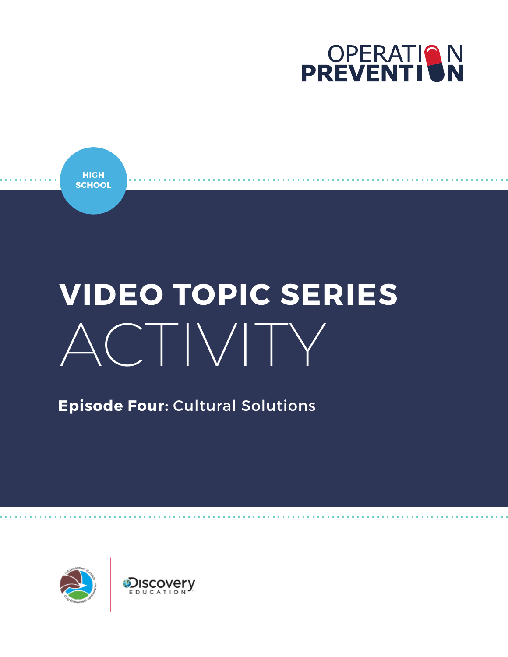



# **VIDEO TOPIC SERIES** ACTIVITY

**Episode Four:** Cultural Solutions

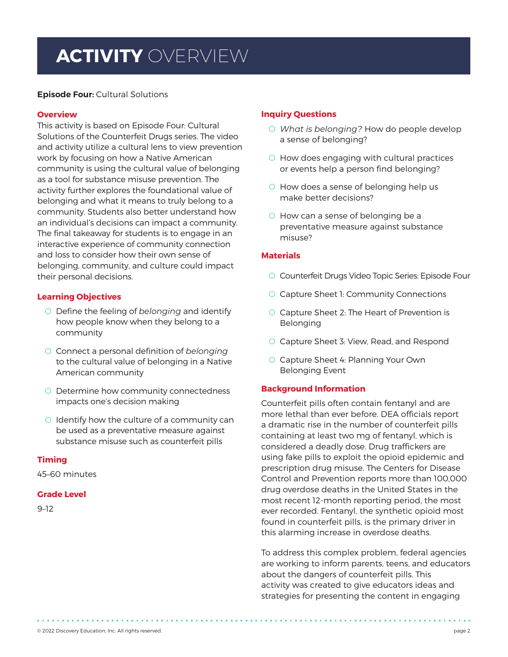# **ACTIVITY** OVERVIEW

**Episode Four:** Cultural Solutions

#### **Overview**

This activity is based on Episode Four: Cultural Solutions of the Counterfeit Drugs series. The video and activity utilize a cultural lens to view prevention work by focusing on how a Native American community is using the cultural value of belonging as a tool for substance misuse prevention. The activity further explores the foundational value of belonging and what it means to truly belong to a community. Students also better understand how an individual's decisions can impact a community. The final takeaway for students is to engage in an interactive experience of community connection and loss to consider how their own sense of belonging, community, and culture could impact their personal decisions.

#### **Learning Objectives**

- O Define the feeling of *belonging* and identify how people know when they belong to a community
- O Connect a personal definition of *belonging* to the cultural value of belonging in a Native American community
- O Determine how community connectedness impacts one's decision making
- O Identify how the culture of a community can be used as a preventative measure against substance misuse such as counterfeit pills

#### **Timing**

45–60 minutes

#### **Grade Level**

9–12

#### **Inquiry Questions**

- O *What is belonging?* How do people develop a sense of belonging?
- O How does engaging with cultural practices or events help a person find belonging?
- O How does a sense of belonging help us make better decisions?
- O How can a sense of belonging be a preventative measure against substance misuse?

#### **Materials**

- O Counterfeit Drugs Video Topic Series: Episode Four
- O Capture Sheet 1: Community Connections
- O Capture Sheet 2: The Heart of Prevention is Belonging
- O Capture Sheet 3: View, Read, and Respond
- O Capture Sheet 4: Planning Your Own Belonging Event

#### **Background Information**

Counterfeit pills often contain fentanyl and are more lethal than ever before. DEA officials report a dramatic rise in the number of counterfeit pills containing at least two mg of fentanyl, which is considered a deadly dose. Drug traffickers are using fake pills to exploit the opioid epidemic and prescription drug misuse. The Centers for Disease Control and Prevention reports more than 100,000 drug overdose deaths in the United States in the most recent 12-month reporting period, the most ever recorded. Fentanyl, the synthetic opioid most found in counterfeit pills, is the primary driver in this alarming increase in overdose deaths.

To address this complex problem, federal agencies are working to inform parents, teens, and educators about the dangers of counterfeit pills. This activity was created to give educators ideas and strategies for presenting the content in engaging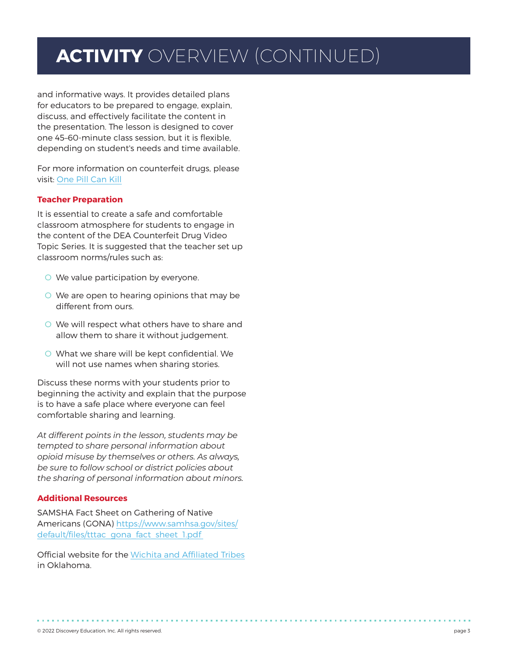# **ACTIVITY** OVERVIEW (CONTINUED)

and informative ways. It provides detailed plans for educators to be prepared to engage, explain, discuss, and effectively facilitate the content in the presentation. The lesson is designed to cover one 45–60-minute class session, but it is flexible, depending on student's needs and time available.

For more information on counterfeit drugs, please visit: [One Pill Can Kill](https://admin.dea.gov/onepill)

#### **Teacher Preparation**

It is essential to create a safe and comfortable classroom atmosphere for students to engage in the content of the DEA Counterfeit Drug Video Topic Series. It is suggested that the teacher set up classroom norms/rules such as:

- O We value participation by everyone.
- O We are open to hearing opinions that may be different from ours.
- O We will respect what others have to share and allow them to share it without judgement.
- O What we share will be kept confidential. We will not use names when sharing stories.

Discuss these norms with your students prior to beginning the activity and explain that the purpose is to have a safe place where everyone can feel comfortable sharing and learning.

*At different points in the lesson, students may be tempted to share personal information about opioid misuse by themselves or others. As always, be sure to follow school or district policies about the sharing of personal information about minors.*

#### **Additional Resources**

SAMSHA Fact Sheet on Gathering of Native Americans (GONA) [https://www.samhsa.gov/sites/](https://www.samhsa.gov/sites/default/files/tttac_gona_fact_sheet_1.pdf ) [default/files/tttac\\_gona\\_fact\\_sheet\\_1.pdf](https://www.samhsa.gov/sites/default/files/tttac_gona_fact_sheet_1.pdf ) 

Official website for the [Wichita and Affiliated Tribes](https://wichitatribe.com/) in Oklahoma.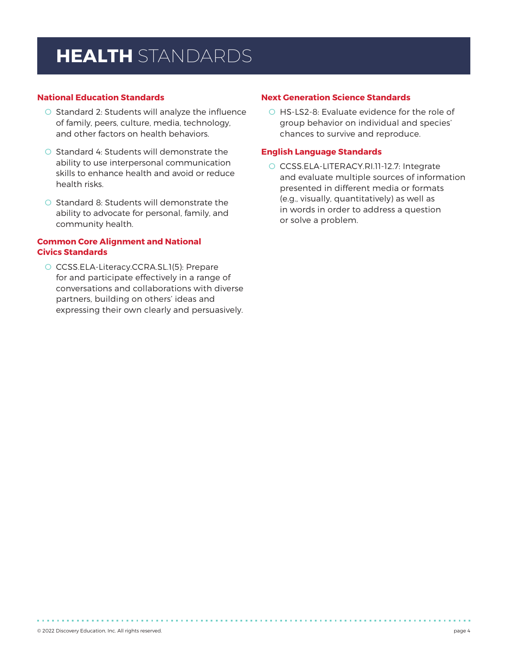# **HEALTH** STANDARDS

#### **National Education Standards**

- O Standard 2: Students will analyze the influence of family, peers, culture, media, technology, and other factors on health behaviors.
- O Standard 4: Students will demonstrate the ability to use interpersonal communication skills to enhance health and avoid or reduce health risks.
- O Standard 8: Students will demonstrate the ability to advocate for personal, family, and community health.

#### **Common Core Alignment and National Civics Standards**

O CCSS.ELA-Literacy.CCRA.SL.1(5): Prepare for and participate effectively in a range of conversations and collaborations with diverse partners, building on others' ideas and expressing their own clearly and persuasively.

#### **Next Generation Science Standards**

O HS-LS2-8: Evaluate evidence for the role of group behavior on individual and species' chances to survive and reproduce.

#### **English Language Standards**

O CCSS.ELA-LITERACY.RI.11-12.7: Integrate and evaluate multiple sources of information presented in different media or formats (e.g., visually, quantitatively) as well as in words in order to address a question or solve a problem.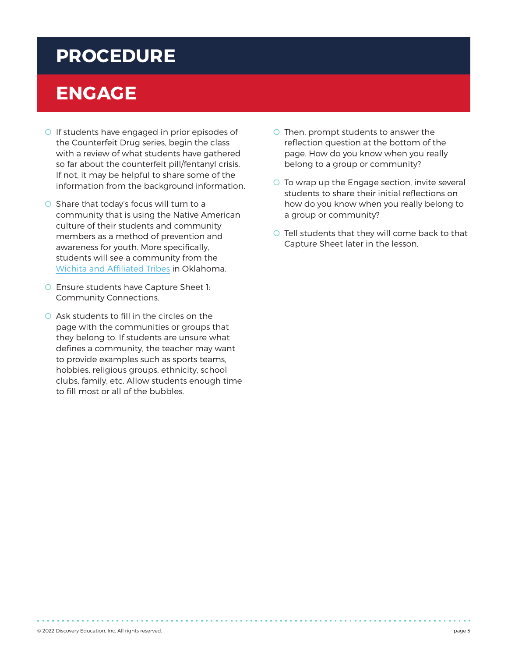### **PROCEDURE**

# **ENGAGE**

- O If students have engaged in prior episodes of the Counterfeit Drug series, begin the class with a review of what students have gathered so far about the counterfeit pill/fentanyl crisis. If not, it may be helpful to share some of the information from the background information.
- O Share that today's focus will turn to a community that is using the Native American culture of their students and community members as a method of prevention and awareness for youth. More specifically, students will see a community from the [Wichita and Affiliated Tribes](https://wichitatribe.com/) in Oklahoma.
- O Ensure students have Capture Sheet 1: Community Connections.
- O Ask students to fill in the circles on the page with the communities or groups that they belong to. If students are unsure what defines a community, the teacher may want to provide examples such as sports teams, hobbies, religious groups, ethnicity, school clubs, family, etc. Allow students enough time to fill most or all of the bubbles.
- O Then, prompt students to answer the reflection question at the bottom of the page. How do you know when you really belong to a group or community?
- O To wrap up the Engage section, invite several students to share their initial reflections on how do you know when you really belong to a group or community?
- O Tell students that they will come back to that Capture Sheet later in the lesson.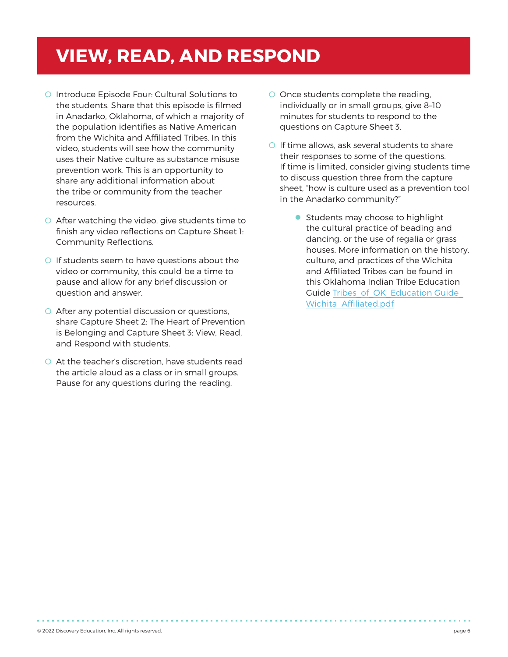### **VIEW, READ, AND RESPOND**

- O Introduce Episode Four: Cultural Solutions to the students. Share that this episode is filmed in Anadarko, Oklahoma, of which a majority of the population identifies as Native American from the Wichita and Affiliated Tribes. In this video, students will see how the community uses their Native culture as substance misuse prevention work. This is an opportunity to share any additional information about the tribe or community from the teacher resources.
- O After watching the video, give students time to finish any video reflections on Capture Sheet 1: Community Reflections.
- O If students seem to have questions about the video or community, this could be a time to pause and allow for any brief discussion or question and answer.
- O After any potential discussion or questions, share Capture Sheet 2: The Heart of Prevention is Belonging and Capture Sheet 3: View, Read, and Respond with students.
- O At the teacher's discretion, have students read the article aloud as a class or in small groups. Pause for any questions during the reading.
- O Once students complete the reading, individually or in small groups, give 8–10 minutes for students to respond to the questions on Capture Sheet 3.
- O If time allows, ask several students to share their responses to some of the questions. If time is limited, consider giving students time to discuss question three from the capture sheet, "how is culture used as a prevention tool in the Anadarko community?"
	- Students may choose to highlight the cultural practice of beading and dancing, or the use of regalia or grass houses. More information on the history, culture, and practices of the Wichita and Affiliated Tribes can be found in this Oklahoma Indian Tribe Education Guide Tribes\_of\_OK\_Education Guide [Wichita\\_Affiliated.pdf](https://nam12.safelinks.protection.outlook.com/?url=https%3A%2F%2Fsde.ok.gov%2Fsites%2Fdefault%2Ffiles%2Fdocuments%2Ffiles%2FTribes_of_OK_Education%2520Guide_Wichita_Affiliated.pdf&data=04%7C01%7CDHammill%40discoveryed.com%7C442d80b30105468966cd08da21759bad%7C66486439753949e59b1f3856579dae67%7C0%7C0%7C637859086283141620%7CUnknown%7CTWFpbGZsb3d8eyJWIjoiMC4wLjAwMDAiLCJQIjoiV2luMzIiLCJBTiI6Ik1haWwiLCJXVCI6Mn0%3D%7C3000&sdata=155fVgLC6D%2Fafw0tuLlvDYkcDlLPqDATDV7PcSnBB2A%3D&reserved=0)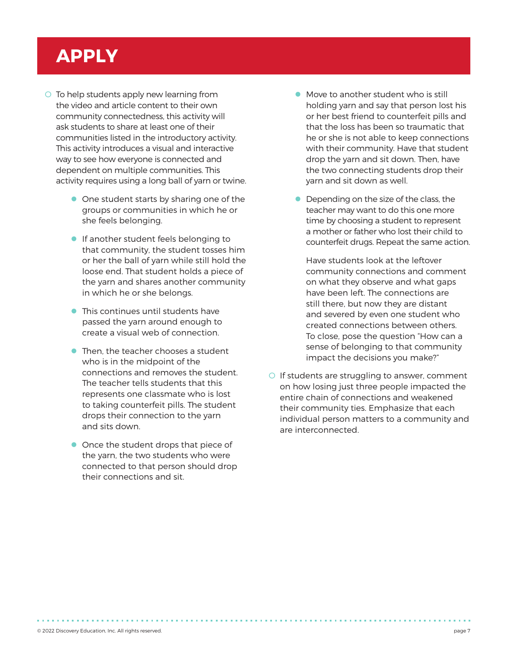# **APPLY**

- O To help students apply new learning from the video and article content to their own community connectedness, this activity will ask students to share at least one of their communities listed in the introductory activity. This activity introduces a visual and interactive way to see how everyone is connected and dependent on multiple communities. This activity requires using a long ball of yarn or twine.
	- $\bullet$  One student starts by sharing one of the groups or communities in which he or she feels belonging.
	- $\bullet$  If another student feels belonging to that community, the student tosses him or her the ball of yarn while still hold the loose end. That student holds a piece of the yarn and shares another community in which he or she belongs.
	- $\bullet$  This continues until students have passed the yarn around enough to create a visual web of connection.
	- $\bullet$  Then, the teacher chooses a student who is in the midpoint of the connections and removes the student. The teacher tells students that this represents one classmate who is lost to taking counterfeit pills. The student drops their connection to the yarn and sits down.
	- Once the student drops that piece of the yarn, the two students who were connected to that person should drop their connections and sit.
- $\bullet$  Move to another student who is still holding yarn and say that person lost his or her best friend to counterfeit pills and that the loss has been so traumatic that he or she is not able to keep connections with their community. Have that student drop the yarn and sit down. Then, have the two connecting students drop their yarn and sit down as well.
- $\bullet$  Depending on the size of the class, the teacher may want to do this one more time by choosing a student to represent a mother or father who lost their child to counterfeit drugs. Repeat the same action.

Have students look at the leftover community connections and comment on what they observe and what gaps have been left. The connections are still there, but now they are distant and severed by even one student who created connections between others. To close, pose the question "How can a sense of belonging to that community impact the decisions you make?"

O If students are struggling to answer, comment on how losing just three people impacted the entire chain of connections and weakened their community ties. Emphasize that each individual person matters to a community and are interconnected.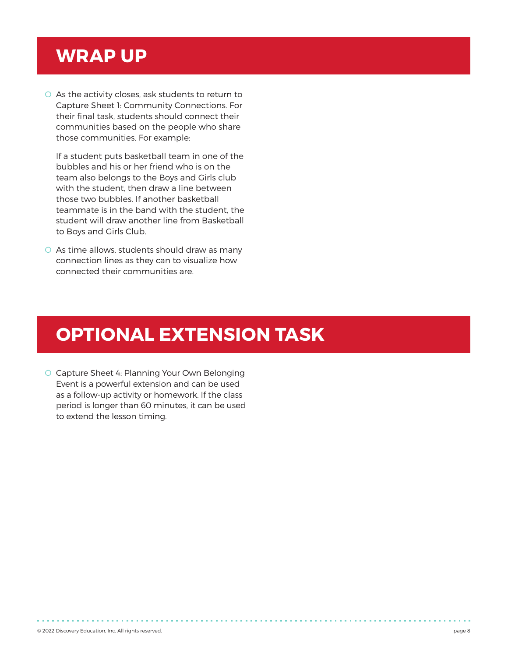### **WRAP UP**

O As the activity closes, ask students to return to Capture Sheet 1: Community Connections. For their final task, students should connect their communities based on the people who share those communities. For example:

If a student puts basketball team in one of the bubbles and his or her friend who is on the team also belongs to the Boys and Girls club with the student, then draw a line between those two bubbles. If another basketball teammate is in the band with the student, the student will draw another line from Basketball to Boys and Girls Club.

O As time allows, students should draw as many connection lines as they can to visualize how connected their communities are.

# **OPTIONAL EXTENSION TASK**

O Capture Sheet 4: Planning Your Own Belonging Event is a powerful extension and can be used as a follow-up activity or homework. If the class period is longer than 60 minutes, it can be used to extend the lesson timing.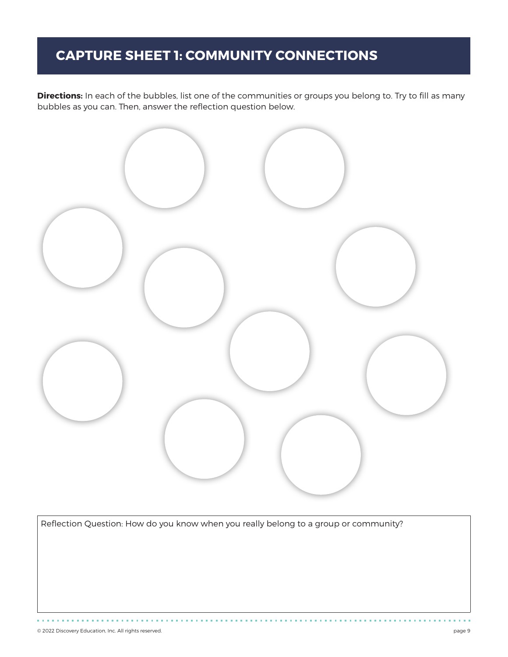### **CAPTURE SHEET 1: COMMUNITY CONNECTIONS**

**Directions:** In each of the bubbles, list one of the communities or groups you belong to. Try to fill as many bubbles as you can. Then, answer the reflection question below.



Reflection Question: How do you know when you really belong to a group or community?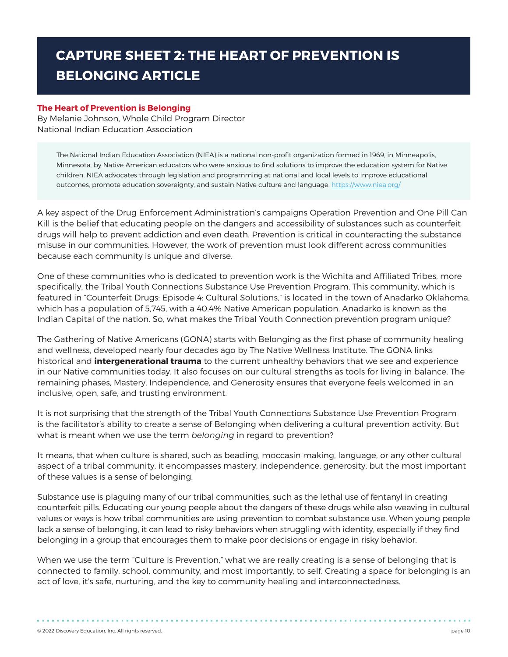### **CAPTURE SHEET 2: THE HEART OF PREVENTION IS BELONGING ARTICLE**

#### **The Heart of Prevention is Belonging**

By Melanie Johnson, Whole Child Program Director National Indian Education Association

The National Indian Education Association (NIEA) is a national non-profit organization formed in 1969, in Minneapolis, Minnesota, by Native American educators who were anxious to find solutions to improve the education system for Native children. NIEA advocates through legislation and programming at national and local levels to improve educational outcomes, promote education sovereignty, and sustain Native culture and language. <https://www.niea.org/>

A key aspect of the Drug Enforcement Administration's campaigns Operation Prevention and One Pill Can Kill is the belief that educating people on the dangers and accessibility of substances such as counterfeit drugs will help to prevent addiction and even death. Prevention is critical in counteracting the substance misuse in our communities. However, the work of prevention must look different across communities because each community is unique and diverse.

One of these communities who is dedicated to prevention work is the Wichita and Affiliated Tribes, more specifically, the Tribal Youth Connections Substance Use Prevention Program. This community, which is featured in "Counterfeit Drugs: Episode 4: Cultural Solutions," is located in the town of Anadarko Oklahoma, which has a population of 5,745, with a 40.4% Native American population. Anadarko is known as the Indian Capital of the nation. So, what makes the Tribal Youth Connection prevention program unique?

The Gathering of Native Americans (GONA) starts with Belonging as the first phase of community healing and wellness, developed nearly four decades ago by The Native Wellness Institute. The GONA links historical and **intergenerational trauma** to the current unhealthy behaviors that we see and experience in our Native communities today. It also focuses on our cultural strengths as tools for living in balance. The remaining phases, Mastery, Independence, and Generosity ensures that everyone feels welcomed in an inclusive, open, safe, and trusting environment.

It is not surprising that the strength of the Tribal Youth Connections Substance Use Prevention Program is the facilitator's ability to create a sense of Belonging when delivering a cultural prevention activity. But what is meant when we use the term *belonging* in regard to prevention?

It means, that when culture is shared, such as beading, moccasin making, language, or any other cultural aspect of a tribal community, it encompasses mastery, independence, generosity, but the most important of these values is a sense of belonging.

Substance use is plaguing many of our tribal communities, such as the lethal use of fentanyl in creating counterfeit pills. Educating our young people about the dangers of these drugs while also weaving in cultural values or ways is how tribal communities are using prevention to combat substance use. When young people lack a sense of belonging, it can lead to risky behaviors when struggling with identity, especially if they find belonging in a group that encourages them to make poor decisions or engage in risky behavior.

When we use the term "Culture is Prevention," what we are really creating is a sense of belonging that is connected to family, school, community, and most importantly, to self. Creating a space for belonging is an act of love, it's safe, nurturing, and the key to community healing and interconnectedness.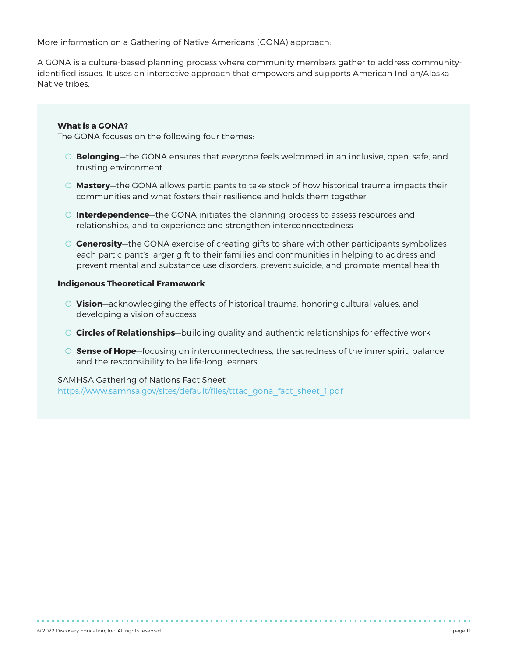More information on a Gathering of Native Americans (GONA) approach:

A GONA is a culture-based planning process where community members gather to address communityidentified issues. It uses an interactive approach that empowers and supports American Indian/Alaska Native tribes.

#### **What is a GONA?**

The GONA focuses on the following four themes:

- O **Belonging**—the GONA ensures that everyone feels welcomed in an inclusive, open, safe, and trusting environment
- O **Mastery**—the GONA allows participants to take stock of how historical trauma impacts their communities and what fosters their resilience and holds them together
- O **Interdependence**—the GONA initiates the planning process to assess resources and relationships, and to experience and strengthen interconnectedness
- O **Generosity**—the GONA exercise of creating gifts to share with other participants symbolizes each participant's larger gift to their families and communities in helping to address and prevent mental and substance use disorders, prevent suicide, and promote mental health

#### **Indigenous Theoretical Framework**

- O **Vision**—acknowledging the effects of historical trauma, honoring cultural values, and developing a vision of success
- O **Circles of Relationships**—building quality and authentic relationships for effective work
- O **Sense of Hope**—focusing on interconnectedness, the sacredness of the inner spirit, balance, and the responsibility to be life-long learners

SAMHSA Gathering of Nations Fact Sheet [https://www.samhsa.gov/sites/default/files/tttac\\_gona\\_fact\\_sheet\\_1.pdf](https://www.samhsa.gov/sites/default/files/tttac_gona_fact_sheet_1.pdf)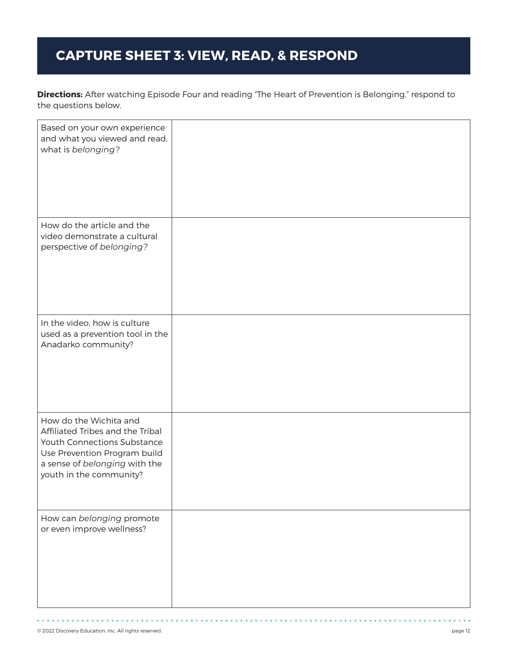### **CAPTURE SHEET 3: VIEW, READ, & RESPOND**

**Directions:** After watching Episode Four and reading "The Heart of Prevention is Belonging," respond to the questions below.

| Based on your own experience<br>and what you viewed and read,<br>what is belonging?                                                                                                   |  |
|---------------------------------------------------------------------------------------------------------------------------------------------------------------------------------------|--|
| How do the article and the<br>video demonstrate a cultural<br>perspective of belonging?                                                                                               |  |
| In the video, how is culture<br>used as a prevention tool in the<br>Anadarko community?                                                                                               |  |
| How do the Wichita and<br>Affiliated Tribes and the Tribal<br>Youth Connections Substance<br>Use Prevention Program build<br>a sense of belonging with the<br>youth in the community? |  |
| How can belonging promote<br>or even improve wellness?                                                                                                                                |  |